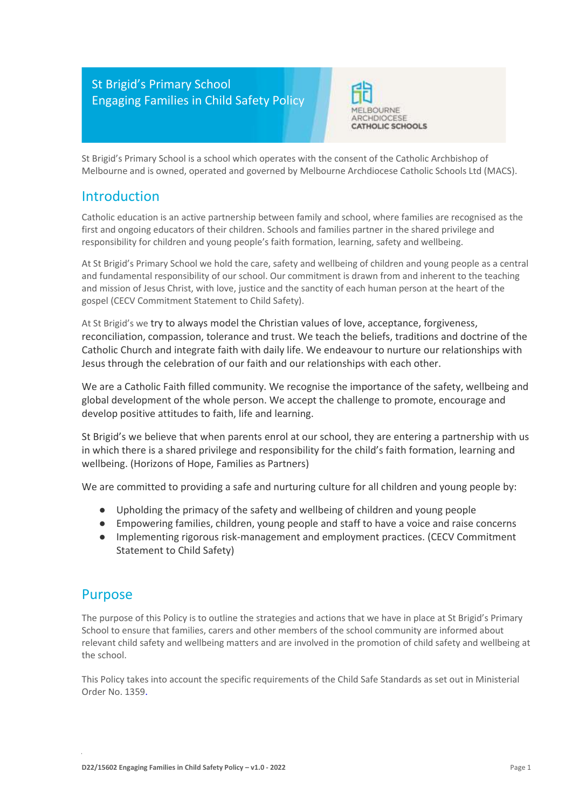### St Brigid's Primary School Engaging Families in Child Safety Policy



St Brigid's Primary School is a school which operates with the consent of the Catholic Archbishop of Melbourne and is owned, operated and governed by Melbourne Archdiocese Catholic Schools Ltd (MACS).

### Introduction

Catholic education is an active partnership between family and school, where families are recognised as the first and ongoing educators of their children. Schools and families partner in the shared privilege and responsibility for children and young people's faith formation, learning, safety and wellbeing.

At St Brigid's Primary School we hold the care, safety and wellbeing of children and young people as a central and fundamental responsibility of our school. Our commitment is drawn from and inherent to the teaching and mission of Jesus Christ, with love, justice and the sanctity of each human person at the heart of the gospel (CECV Commitment Statement to Child Safety).

At St Brigid's we try to always model the Christian values of love, acceptance, forgiveness, reconciliation, compassion, tolerance and trust. We teach the beliefs, traditions and doctrine of the Catholic Church and integrate faith with daily life. We endeavour to nurture our relationships with Jesus through the celebration of our faith and our relationships with each other.

We are a Catholic Faith filled community. We recognise the importance of the safety, wellbeing and global development of the whole person. We accept the challenge to promote, encourage and develop positive attitudes to faith, life and learning.

St Brigid's we believe that when parents enrol at our school, they are entering a partnership with us in which there is a shared privilege and responsibility for the child's faith formation, learning and wellbeing. (Horizons of Hope, Families as Partners)

We are committed to providing a safe and nurturing culture for all children and young people by:

- Upholding the primacy of the safety and wellbeing of children and young people
- Empowering families, children, young people and staff to have a voice and raise concerns
- Implementing rigorous risk-management and employment practices. (CECV Commitment Statement to Child Safety)

#### Purpose

The purpose of this Policy is to outline the strategies and actions that we have in place at St Brigid's Primary School to ensure that families, carers and other members of the school community are informed about relevant child safety and wellbeing matters and are involved in the promotion of child safety and wellbeing at the school.

This Policy takes into account the specific requirements of the Child Safe Standards as set out in Ministerial Order No. 1359.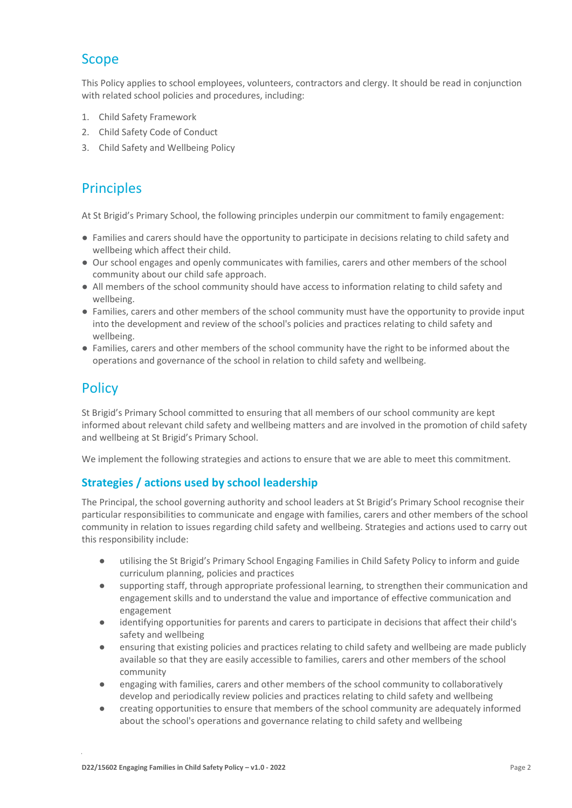# Scope

This Policy applies to school employees, volunteers, contractors and clergy. It should be read in conjunction with related school policies and procedures, including:

- 1. Child Safety Framework
- 2. Child Safety Code of Conduct
- 3. Child Safety and Wellbeing Policy

# Principles

At St Brigid's Primary School, the following principles underpin our commitment to family engagement:

- Families and carers should have the opportunity to participate in decisions relating to child safety and wellbeing which affect their child.
- Our school engages and openly communicates with families, carers and other members of the school community about our child safe approach.
- All members of the school community should have access to information relating to child safety and wellbeing.
- Families, carers and other members of the school community must have the opportunity to provide input into the development and review of the school's policies and practices relating to child safety and wellbeing.
- Families, carers and other members of the school community have the right to be informed about the operations and governance of the school in relation to child safety and wellbeing.

## **Policy**

St Brigid's Primary School committed to ensuring that all members of our school community are kept informed about relevant child safety and wellbeing matters and are involved in the promotion of child safety and wellbeing at St Brigid's Primary School.

We implement the following strategies and actions to ensure that we are able to meet this commitment.

#### **Strategies / actions used by school leadership**

The Principal, the school governing authority and school leaders at St Brigid's Primary School recognise their particular responsibilities to communicate and engage with families, carers and other members of the school community in relation to issues regarding child safety and wellbeing. Strategies and actions used to carry out this responsibility include:

- utilising the St Brigid's Primary School Engaging Families in Child Safety Policy to inform and guide curriculum planning, policies and practices
- supporting staff, through appropriate professional learning, to strengthen their communication and engagement skills and to understand the value and importance of effective communication and engagement
- identifying opportunities for parents and carers to participate in decisions that affect their child's safety and wellbeing
- ensuring that existing policies and practices relating to child safety and wellbeing are made publicly available so that they are easily accessible to families, carers and other members of the school community
- engaging with families, carers and other members of the school community to collaboratively develop and periodically review policies and practices relating to child safety and wellbeing
- creating opportunities to ensure that members of the school community are adequately informed about the school's operations and governance relating to child safety and wellbeing